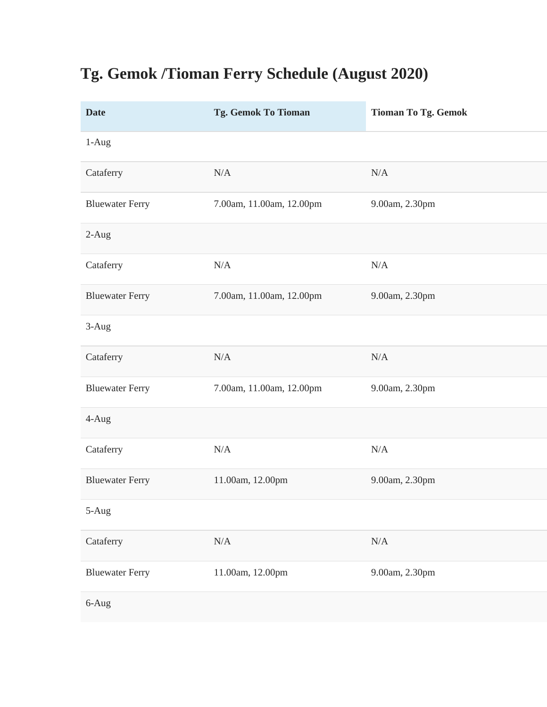## **Tg. Gemok /Tioman Ferry Schedule (August 2020)**

| <b>Date</b>            | Tg. Gemok To Tioman      | <b>Tioman To Tg. Gemok</b> |
|------------------------|--------------------------|----------------------------|
| 1-Aug                  |                          |                            |
| Cataferry              | N/A                      | N/A                        |
| <b>Bluewater Ferry</b> | 7.00am, 11.00am, 12.00pm | 9.00am, 2.30pm             |
| $2-Aug$                |                          |                            |
| Cataferry              | N/A                      | N/A                        |
| <b>Bluewater Ferry</b> | 7.00am, 11.00am, 12.00pm | 9.00am, 2.30pm             |
| 3-Aug                  |                          |                            |
| Cataferry              | N/A                      | $\rm N/A$                  |
| <b>Bluewater Ferry</b> | 7.00am, 11.00am, 12.00pm | 9.00am, 2.30pm             |
| 4-Aug                  |                          |                            |
| Cataferry              | N/A                      | N/A                        |
| <b>Bluewater Ferry</b> | 11.00am, 12.00pm         | 9.00am, 2.30pm             |
| 5-Aug                  |                          |                            |
| Cataferry              | N/A                      | N/A                        |
| <b>Bluewater Ferry</b> | 11.00am, 12.00pm         | 9.00am, 2.30pm             |
| 6-Aug                  |                          |                            |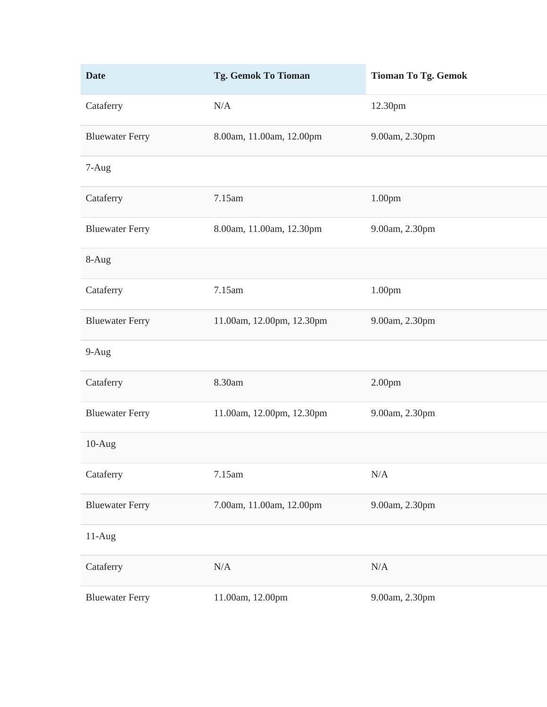| <b>Date</b>            | Tg. Gemok To Tioman       | <b>Tioman To Tg. Gemok</b> |
|------------------------|---------------------------|----------------------------|
| Cataferry              | N/A                       | 12.30pm                    |
| <b>Bluewater Ferry</b> | 8.00am, 11.00am, 12.00pm  | 9.00am, 2.30pm             |
| 7-Aug                  |                           |                            |
| Cataferry              | 7.15am                    | 1.00pm                     |
| <b>Bluewater Ferry</b> | 8.00am, 11.00am, 12.30pm  | 9.00am, 2.30pm             |
| 8-Aug                  |                           |                            |
| Cataferry              | 7.15am                    | 1.00 <sub>pm</sub>         |
| <b>Bluewater Ferry</b> | 11.00am, 12.00pm, 12.30pm | 9.00am, 2.30pm             |
| 9-Aug                  |                           |                            |
| Cataferry              | 8.30am                    | 2.00pm                     |
| <b>Bluewater Ferry</b> | 11.00am, 12.00pm, 12.30pm | 9.00am, 2.30pm             |
| $10-Aug$               |                           |                            |
| Cataferry              | 7.15am                    | $\rm N/A$                  |
| <b>Bluewater Ferry</b> | 7.00am, 11.00am, 12.00pm  | 9.00am, 2.30pm             |
| 11-Aug                 |                           |                            |
| Cataferry              | N/A                       | $\rm N/A$                  |
| <b>Bluewater Ferry</b> | 11.00am, 12.00pm          | 9.00am, 2.30pm             |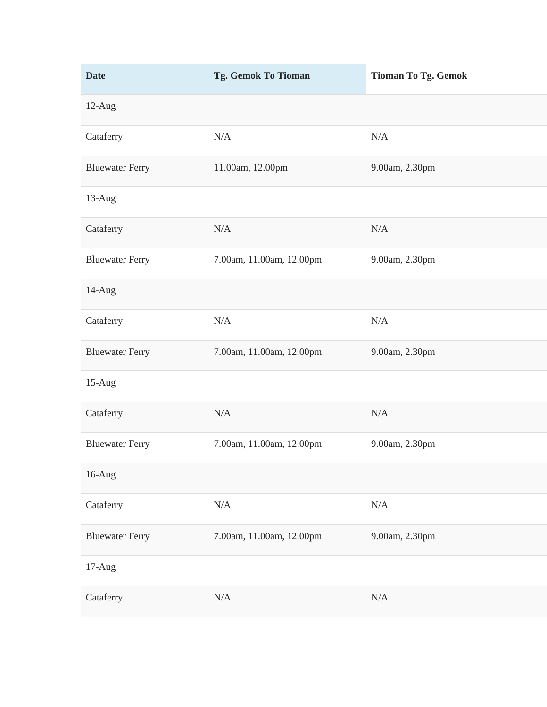| <b>Date</b>            | Tg. Gemok To Tioman      | <b>Tioman To Tg. Gemok</b> |
|------------------------|--------------------------|----------------------------|
| 12-Aug                 |                          |                            |
| Cataferry              | N/A                      | $\rm N/A$                  |
| <b>Bluewater Ferry</b> | 11.00am, 12.00pm         | 9.00am, 2.30pm             |
| 13-Aug                 |                          |                            |
| Cataferry              | N/A                      | N/A                        |
| <b>Bluewater Ferry</b> | 7.00am, 11.00am, 12.00pm | 9.00am, 2.30pm             |
| 14-Aug                 |                          |                            |
| Cataferry              | $\rm N/A$                | $\rm N/A$                  |
| <b>Bluewater Ferry</b> | 7.00am, 11.00am, 12.00pm | 9.00am, 2.30pm             |
| $15-Aug$               |                          |                            |
| Cataferry              | N/A                      | N/A                        |
| <b>Bluewater Ferry</b> | 7.00am, 11.00am, 12.00pm | 9.00am, 2.30pm             |
| $16$ -Aug              |                          |                            |
| Cataferry              | $\rm N/A$                | $\rm N/A$                  |
| <b>Bluewater Ferry</b> | 7.00am, 11.00am, 12.00pm | 9.00am, 2.30pm             |
| $17-Aug$               |                          |                            |
| Cataferry              | $\rm N/A$                | $\rm N/A$                  |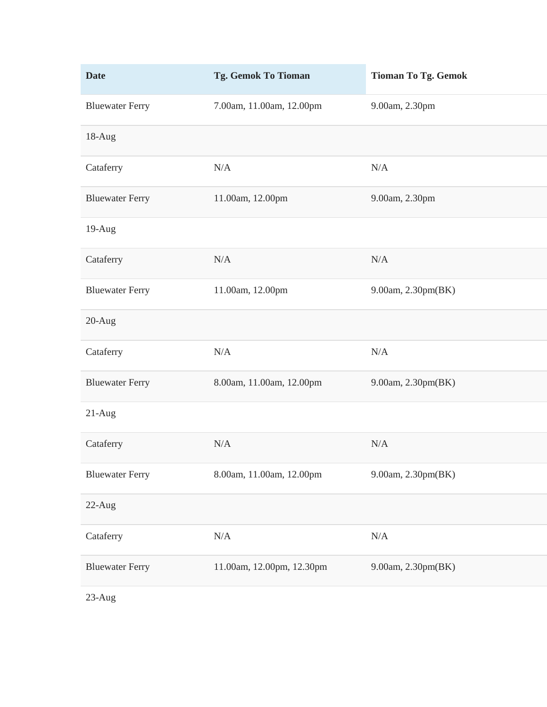| <b>Date</b>            | Tg. Gemok To Tioman       | <b>Tioman To Tg. Gemok</b> |
|------------------------|---------------------------|----------------------------|
| <b>Bluewater Ferry</b> | 7.00am, 11.00am, 12.00pm  | 9.00am, 2.30pm             |
| 18-Aug                 |                           |                            |
| Cataferry              | N/A                       | N/A                        |
| <b>Bluewater Ferry</b> | 11.00am, 12.00pm          | 9.00am, 2.30pm             |
| 19-Aug                 |                           |                            |
| Cataferry              | N/A                       | N/A                        |
| <b>Bluewater Ferry</b> | 11.00am, 12.00pm          | 9.00am, 2.30pm(BK)         |
| $20-Aug$               |                           |                            |
| Cataferry              | $\rm N/A$                 | $\rm N/A$                  |
| <b>Bluewater Ferry</b> | 8.00am, 11.00am, 12.00pm  | 9.00am, 2.30pm(BK)         |
| $21-Aug$               |                           |                            |
| Cataferry              | N/A                       | N/A                        |
| <b>Bluewater Ferry</b> | 8.00am, 11.00am, 12.00pm  | 9.00am, 2.30pm(BK)         |
| 22-Aug                 |                           |                            |
| Cataferry              | N/A                       | N/A                        |
| <b>Bluewater Ferry</b> | 11.00am, 12.00pm, 12.30pm | 9.00am, 2.30pm(BK)         |
| 23-Aug                 |                           |                            |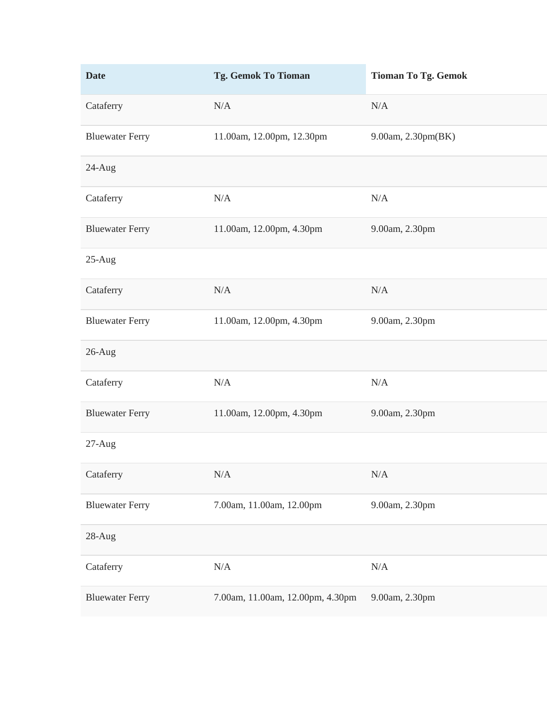| <b>Date</b>            | Tg. Gemok To Tioman              | <b>Tioman To Tg. Gemok</b> |
|------------------------|----------------------------------|----------------------------|
| Cataferry              | N/A                              | N/A                        |
| <b>Bluewater Ferry</b> | 11.00am, 12.00pm, 12.30pm        | 9.00am, 2.30pm(BK)         |
| $24$ -Aug              |                                  |                            |
| Cataferry              | N/A                              | N/A                        |
| <b>Bluewater Ferry</b> | 11.00am, 12.00pm, 4.30pm         | 9.00am, 2.30pm             |
| $25-Aug$               |                                  |                            |
| Cataferry              | N/A                              | N/A                        |
| <b>Bluewater Ferry</b> | 11.00am, 12.00pm, 4.30pm         | 9.00am, 2.30pm             |
| 26-Aug                 |                                  |                            |
| Cataferry              | N/A                              | N/A                        |
| <b>Bluewater Ferry</b> | 11.00am, 12.00pm, 4.30pm         | 9.00am, 2.30pm             |
| $27-Aug$               |                                  |                            |
| Cataferry              | $\rm N/A$                        | $\rm N/A$                  |
| <b>Bluewater Ferry</b> | 7.00am, 11.00am, 12.00pm         | 9.00am, 2.30pm             |
| 28-Aug                 |                                  |                            |
| Cataferry              | N/A                              | N/A                        |
| <b>Bluewater Ferry</b> | 7.00am, 11.00am, 12.00pm, 4.30pm | 9.00am, 2.30pm             |